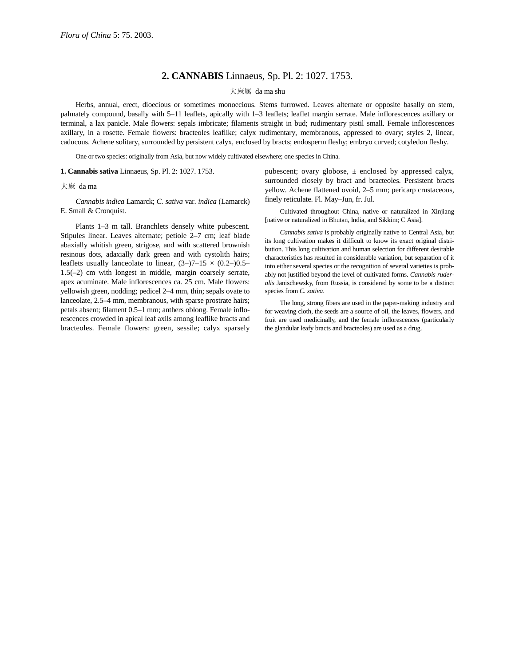## **2. CANNABIS** Linnaeus, Sp. Pl. 2: 1027. 1753.

## 大麻属 da ma shu

Herbs, annual, erect, dioecious or sometimes monoecious. Stems furrowed. Leaves alternate or opposite basally on stem, palmately compound, basally with 5–11 leaflets, apically with 1–3 leaflets; leaflet margin serrate. Male inflorescences axillary or terminal, a lax panicle. Male flowers: sepals imbricate; filaments straight in bud; rudimentary pistil small. Female inflorescences axillary, in a rosette. Female flowers: bracteoles leaflike; calyx rudimentary, membranous, appressed to ovary; styles 2, linear, caducous. Achene solitary, surrounded by persistent calyx, enclosed by bracts; endosperm fleshy; embryo curved; cotyledon fleshy.

One or two species: originally from Asia, but now widely cultivated elsewhere; one species in China.

**1. Cannabis sativa** Linnaeus, Sp. Pl. 2: 1027. 1753.

## 大麻 da ma

*Cannabis indica* Lamarck; *C. sativa* var. *indica* (Lamarck) E. Small & Cronquist.

Plants 1–3 m tall. Branchlets densely white pubescent. Stipules linear. Leaves alternate; petiole 2–7 cm; leaf blade abaxially whitish green, strigose, and with scattered brownish resinous dots, adaxially dark green and with cystolith hairs; leaflets usually lanceolate to linear,  $(3-)7-15 \times (0.2-)0.5-$ 1.5(–2) cm with longest in middle, margin coarsely serrate, apex acuminate. Male inflorescences ca. 25 cm. Male flowers: yellowish green, nodding; pedicel 2–4 mm, thin; sepals ovate to lanceolate, 2.5–4 mm, membranous, with sparse prostrate hairs; petals absent; filament 0.5–1 mm; anthers oblong. Female inflorescences crowded in apical leaf axils among leaflike bracts and bracteoles. Female flowers: green, sessile; calyx sparsely

pubescent; ovary globose,  $\pm$  enclosed by appressed calyx, surrounded closely by bract and bracteoles. Persistent bracts yellow. Achene flattened ovoid, 2–5 mm; pericarp crustaceous, finely reticulate. Fl. May–Jun, fr. Jul.

Cultivated throughout China, native or naturalized in Xinjiang [native or naturalized in Bhutan, India, and Sikkim; C Asia].

*Cannabis sativa* is probably originally native to Central Asia, but its long cultivation makes it difficult to know its exact original distribution. This long cultivation and human selection for different desirable characteristics has resulted in considerable variation, but separation of it into either several species or the recognition of several varieties is probably not justified beyond the level of cultivated forms. *Cannabis ruderalis* Janischewsky, from Russia, is considered by some to be a distinct species from *C. sativa*.

The long, strong fibers are used in the paper-making industry and for weaving cloth, the seeds are a source of oil, the leaves, flowers, and fruit are used medicinally, and the female inflorescences (particularly the glandular leafy bracts and bracteoles) are used as a drug.